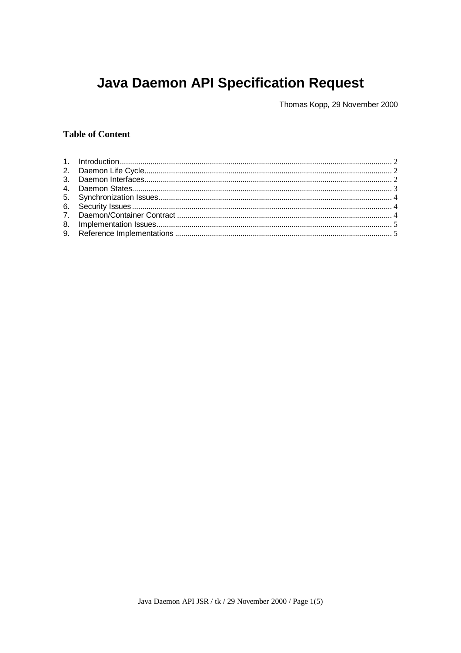# **Java Daemon API Specification Request**

Thomas Kopp, 29 November 2000

# **Table of Content**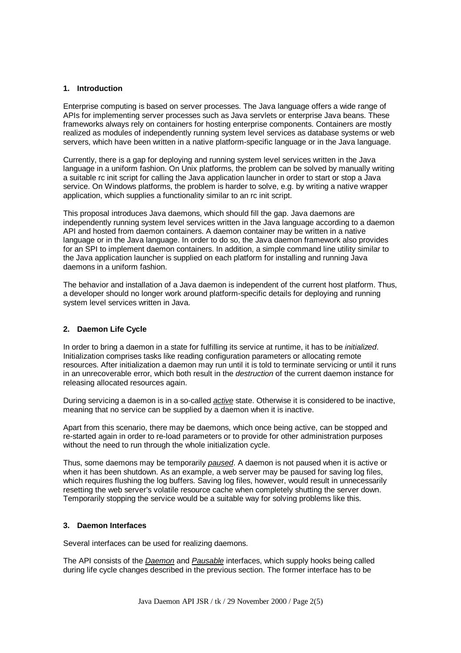## **1. Introduction**

Enterprise computing is based on server processes. The Java language offers a wide range of APIs for implementing server processes such as Java servlets or enterprise Java beans. These frameworks always rely on containers for hosting enterprise components. Containers are mostly realized as modules of independently running system level services as database systems or web servers, which have been written in a native platform-specific language or in the Java language.

Currently, there is a gap for deploying and running system level services written in the Java language in a uniform fashion. On Unix platforms, the problem can be solved by manually writing a suitable rc init script for calling the Java application launcher in order to start or stop a Java service. On Windows platforms, the problem is harder to solve, e.g. by writing a native wrapper application, which supplies a functionality similar to an rc init script.

This proposal introduces Java daemons, which should fill the gap. Java daemons are independently running system level services written in the Java language according to a daemon API and hosted from daemon containers. A daemon container may be written in a native language or in the Java language. In order to do so, the Java daemon framework also provides for an SPI to implement daemon containers. In addition, a simple command line utility similar to the Java application launcher is supplied on each platform for installing and running Java daemons in a uniform fashion.

The behavior and installation of a Java daemon is independent of the current host platform. Thus, a developer should no longer work around platform-specific details for deploying and running system level services written in Java.

# **2. Daemon Life Cycle**

In order to bring a daemon in a state for fulfilling its service at runtime, it has to be *initialized*. Initialization comprises tasks like reading configuration parameters or allocating remote resources. After initialization a daemon may run until it is told to terminate servicing or until it runs in an unrecoverable error, which both result in the *destruction* of the current daemon instance for releasing allocated resources again.

During servicing a daemon is in a so-called *active* state. Otherwise it is considered to be inactive, meaning that no service can be supplied by a daemon when it is inactive.

Apart from this scenario, there may be daemons, which once being active, can be stopped and re-started again in order to re-load parameters or to provide for other administration purposes without the need to run through the whole initialization cycle.

Thus, some daemons may be temporarily *paused*. A daemon is not paused when it is active or when it has been shutdown. As an example, a web server may be paused for saving log files, which requires flushing the log buffers. Saving log files, however, would result in unnecessarily resetting the web server's volatile resource cache when completely shutting the server down. Temporarily stopping the service would be a suitable way for solving problems like this.

## **3. Daemon Interfaces**

Several interfaces can be used for realizing daemons.

The API consists of the *Daemon* and *Pausable* interfaces, which supply hooks being called during life cycle changes described in the previous section. The former interface has to be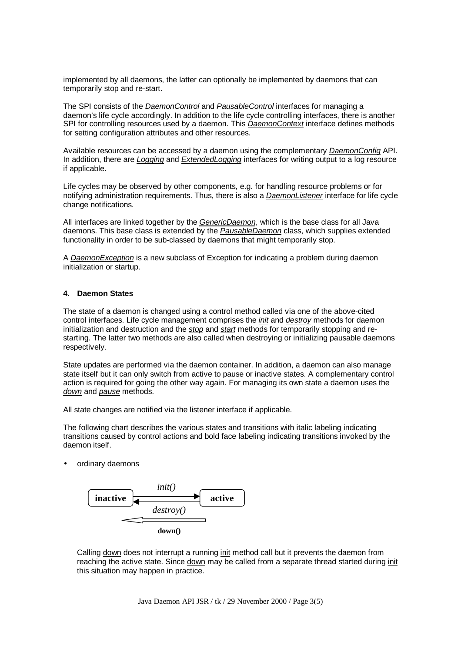implemented by all daemons, the latter can optionally be implemented by daemons that can temporarily stop and re-start.

The SPI consists of the *DaemonControl* and *PausableControl* interfaces for managing a daemon's life cycle accordingly. In addition to the life cycle controlling interfaces, there is another SPI for controlling resources used by a daemon. This *DaemonContext* interface defines methods for setting configuration attributes and other resources.

Available resources can be accessed by a daemon using the complementary *DaemonConfig* API. In addition, there are *Logging* and *ExtendedLogging* interfaces for writing output to a log resource if applicable.

Life cycles may be observed by other components, e.g. for handling resource problems or for notifying administration requirements. Thus, there is also a *DaemonListener* interface for life cycle change notifications.

All interfaces are linked together by the *GenericDaemon*, which is the base class for all Java daemons. This base class is extended by the *PausableDaemon* class, which supplies extended functionality in order to be sub-classed by daemons that might temporarily stop.

A *DaemonException* is a new subclass of Exception for indicating a problem during daemon initialization or startup.

# **4. Daemon States**

The state of a daemon is changed using a control method called via one of the above-cited control interfaces. Life cycle management comprises the *init* and *destroy* methods for daemon initialization and destruction and the *stop* and *start* methods for temporarily stopping and restarting. The latter two methods are also called when destroying or initializing pausable daemons respectively.

State updates are performed via the daemon container. In addition, a daemon can also manage state itself but it can only switch from active to pause or inactive states. A complementary control action is required for going the other way again. For managing its own state a daemon uses the *down* and *pause* methods.

All state changes are notified via the listener interface if applicable.

The following chart describes the various states and transitions with italic labeling indicating transitions caused by control actions and bold face labeling indicating transitions invoked by the daemon itself.

ordinary daemons



Calling down does not interrupt a running init method call but it prevents the daemon from reaching the active state. Since down may be called from a separate thread started during init this situation may happen in practice.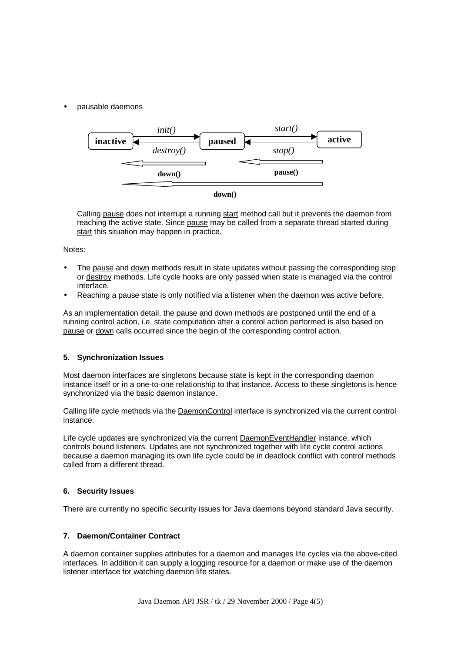• pausable daemons



Calling pause does not interrupt a running start method call but it prevents the daemon from reaching the active state. Since pause may be called from a separate thread started during start this situation may happen in practice.

# Notes:

- The pause and down methods result in state updates without passing the corresponding stop or destroy methods. Life cycle hooks are only passed when state is managed via the control interface.
- Reaching a pause state is only notified via a listener when the daemon was active before.

As an implementation detail, the pause and down methods are postponed until the end of a running control action, i.e. state computation after a control action performed is also based on pause or down calls occurred since the begin of the corresponding control action.

#### **5. Synchronization Issues**

Most daemon interfaces are singletons because state is kept in the corresponding daemon instance itself or in a one-to-one relationship to that instance. Access to these singletons is hence synchronized via the basic daemon instance.

Calling life cycle methods via the DaemonControl interface is synchronized via the current control instance.

Life cycle updates are synchronized via the current DaemonEventHandler instance, which controls bound listeners. Updates are not synchronized together with life cycle control actions because a daemon managing its own life cycle could be in deadlock conflict with control methods called from a different thread.

#### **6. Security Issues**

There are currently no specific security issues for Java daemons beyond standard Java security.

#### **7. Daemon/Container Contract**

A daemon container supplies attributes for a daemon and manages life cycles via the above-cited interfaces. In addition it can supply a logging resource for a daemon or make use of the daemon listener interface for watching daemon life states.